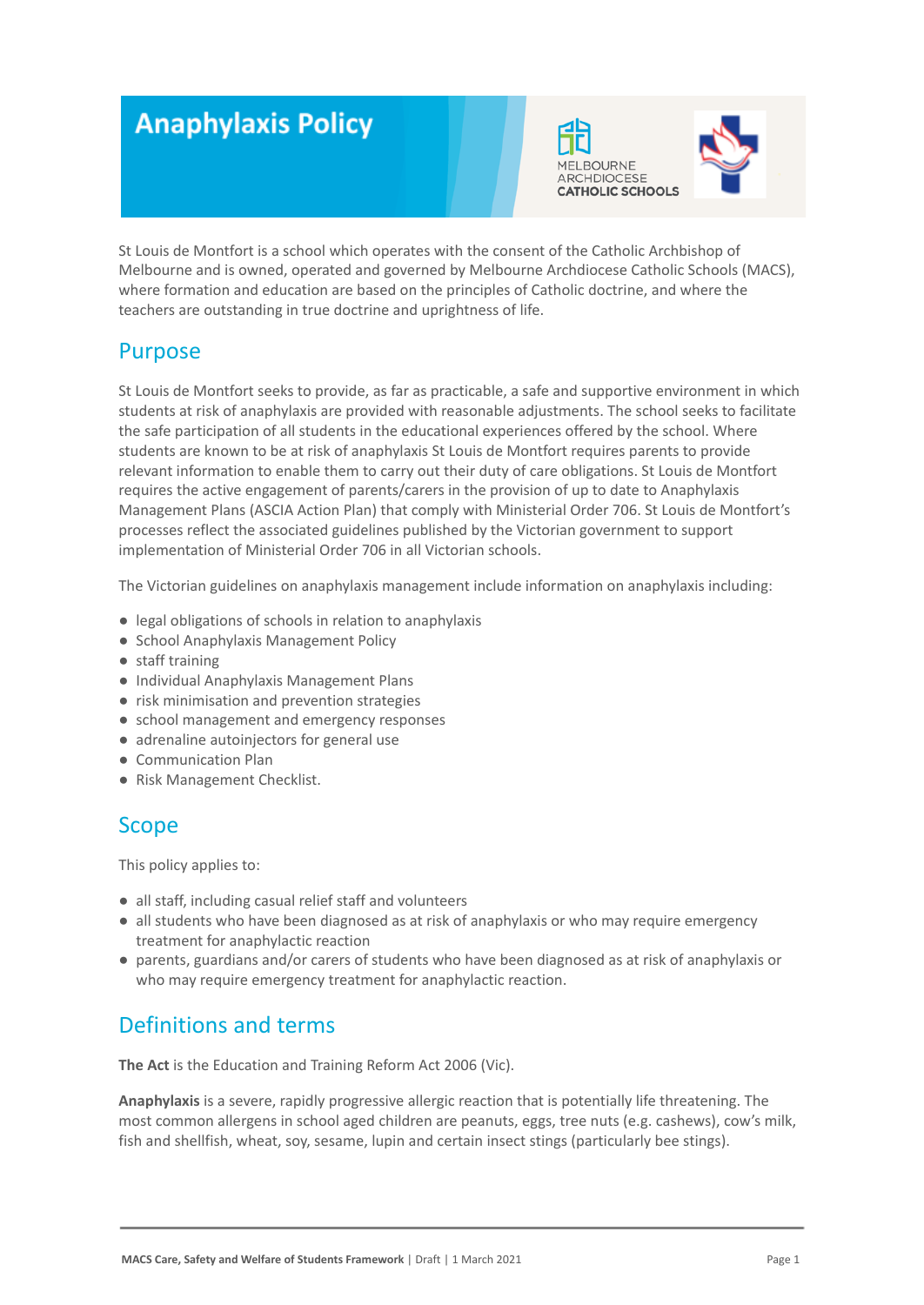# **Anaphylaxis Policy**





St Louis de Montfort is a school which operates with the consent of the Catholic Archbishop of Melbourne and is owned, operated and governed by Melbourne Archdiocese Catholic Schools (MACS), where formation and education are based on the principles of Catholic doctrine, and where the teachers are outstanding in true doctrine and uprightness of life.

## Purpose

St Louis de Montfort seeks to provide, as far as practicable, a safe and supportive environment in which students at risk of anaphylaxis are provided with reasonable adjustments. The school seeks to facilitate the safe participation of all students in the educational experiences offered by the school. Where students are known to be at risk of anaphylaxis St Louis de Montfort requires parents to provide relevant information to enable them to carry out their duty of care obligations. St Louis de Montfort requires the active engagement of parents/carers in the provision of up to date to Anaphylaxis Management Plans (ASCIA Action Plan) that comply with Ministerial Order 706. St Louis de Montfort's processes reflect the associated guidelines published by the Victorian government to support implementation of Ministerial Order 706 in all Victorian schools.

The Victorian guidelines on anaphylaxis management include information on anaphylaxis including:

- legal obligations of schools in relation to anaphylaxis
- School Anaphylaxis Management Policy
- staff training
- Individual Anaphylaxis Management Plans
- risk minimisation and prevention strategies
- school management and emergency responses
- adrenaline autoinjectors for general use
- Communication Plan
- Risk Management Checklist.

## Scope

This policy applies to:

- all staff, including casual relief staff and volunteers
- all students who have been diagnosed as at risk of anaphylaxis or who may require emergency treatment for anaphylactic reaction
- parents, guardians and/or carers of students who have been diagnosed as at risk of anaphylaxis or who may require emergency treatment for anaphylactic reaction.

## Definitions and terms

**The Act** is the Education and Training Reform Act 2006 (Vic).

**Anaphylaxis** is a severe, rapidly progressive allergic reaction that is potentially life threatening. The most common allergens in school aged children are peanuts, eggs, tree nuts (e.g. cashews), cow's milk, fish and shellfish, wheat, soy, sesame, lupin and certain insect stings (particularly bee stings).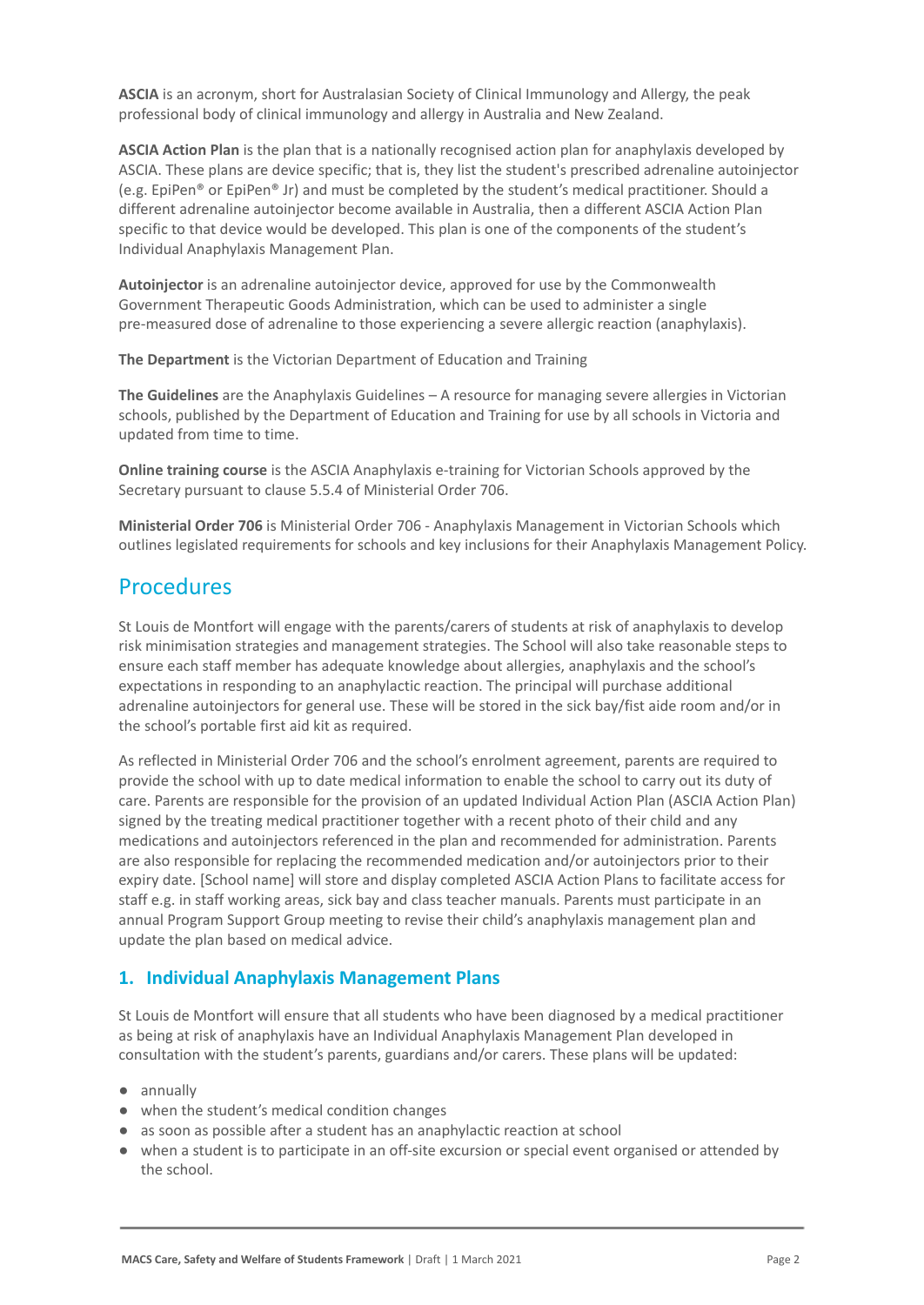**ASCIA** is an acronym, short for Australasian Society of Clinical Immunology and Allergy, the peak professional body of clinical immunology and allergy in Australia and New Zealand.

**ASCIA Action Plan** is the plan that is a nationally recognised action plan for anaphylaxis developed by ASCIA. These plans are device specific; that is, they list the student's prescribed adrenaline autoinjector (e.g. EpiPen® or EpiPen® Jr) and must be completed by the student's medical practitioner. Should a different adrenaline autoinjector become available in Australia, then a different ASCIA Action Plan specific to that device would be developed. This plan is one of the components of the student's Individual Anaphylaxis Management Plan.

**Autoinjector** is an adrenaline autoinjector device, approved for use by the Commonwealth Government Therapeutic Goods Administration, which can be used to administer a single pre-measured dose of adrenaline to those experiencing a severe allergic reaction (anaphylaxis).

**The Department** is the Victorian Department of Education and Training

**The Guidelines** are the Anaphylaxis Guidelines – A resource for managing severe allergies in Victorian schools, published by the Department of Education and Training for use by all schools in Victoria and updated from time to time.

**Online training course** is the ASCIA Anaphylaxis e-training for Victorian Schools approved by the Secretary pursuant to clause 5.5.4 of Ministerial Order 706.

**Ministerial Order 706** is Ministerial Order 706 - Anaphylaxis Management in Victorian Schools which outlines legislated requirements for schools and key inclusions for their Anaphylaxis Management Policy.

## **Procedures**

St Louis de Montfort will engage with the parents/carers of students at risk of anaphylaxis to develop risk minimisation strategies and management strategies. The School will also take reasonable steps to ensure each staff member has adequate knowledge about allergies, anaphylaxis and the school's expectations in responding to an anaphylactic reaction. The principal will purchase additional adrenaline autoinjectors for general use. These will be stored in the sick bay/fist aide room and/or in the school's portable first aid kit as required.

As reflected in Ministerial Order 706 and the school's enrolment agreement, parents are required to provide the school with up to date medical information to enable the school to carry out its duty of care. Parents are responsible for the provision of an updated Individual Action Plan (ASCIA Action Plan) signed by the treating medical practitioner together with a recent photo of their child and any medications and autoinjectors referenced in the plan and recommended for administration. Parents are also responsible for replacing the recommended medication and/or autoinjectors prior to their expiry date. [School name] will store and display completed ASCIA Action Plans to facilitate access for staff e.g. in staff working areas, sick bay and class teacher manuals. Parents must participate in an annual Program Support Group meeting to revise their child's anaphylaxis management plan and update the plan based on medical advice.

## **1. Individual Anaphylaxis Management Plans**

St Louis de Montfort will ensure that all students who have been diagnosed by a medical practitioner as being at risk of anaphylaxis have an Individual Anaphylaxis Management Plan developed in consultation with the student's parents, guardians and/or carers. These plans will be updated:

- annually
- when the student's medical condition changes
- as soon as possible after a student has an anaphylactic reaction at school
- when a student is to participate in an off-site excursion or special event organised or attended by the school.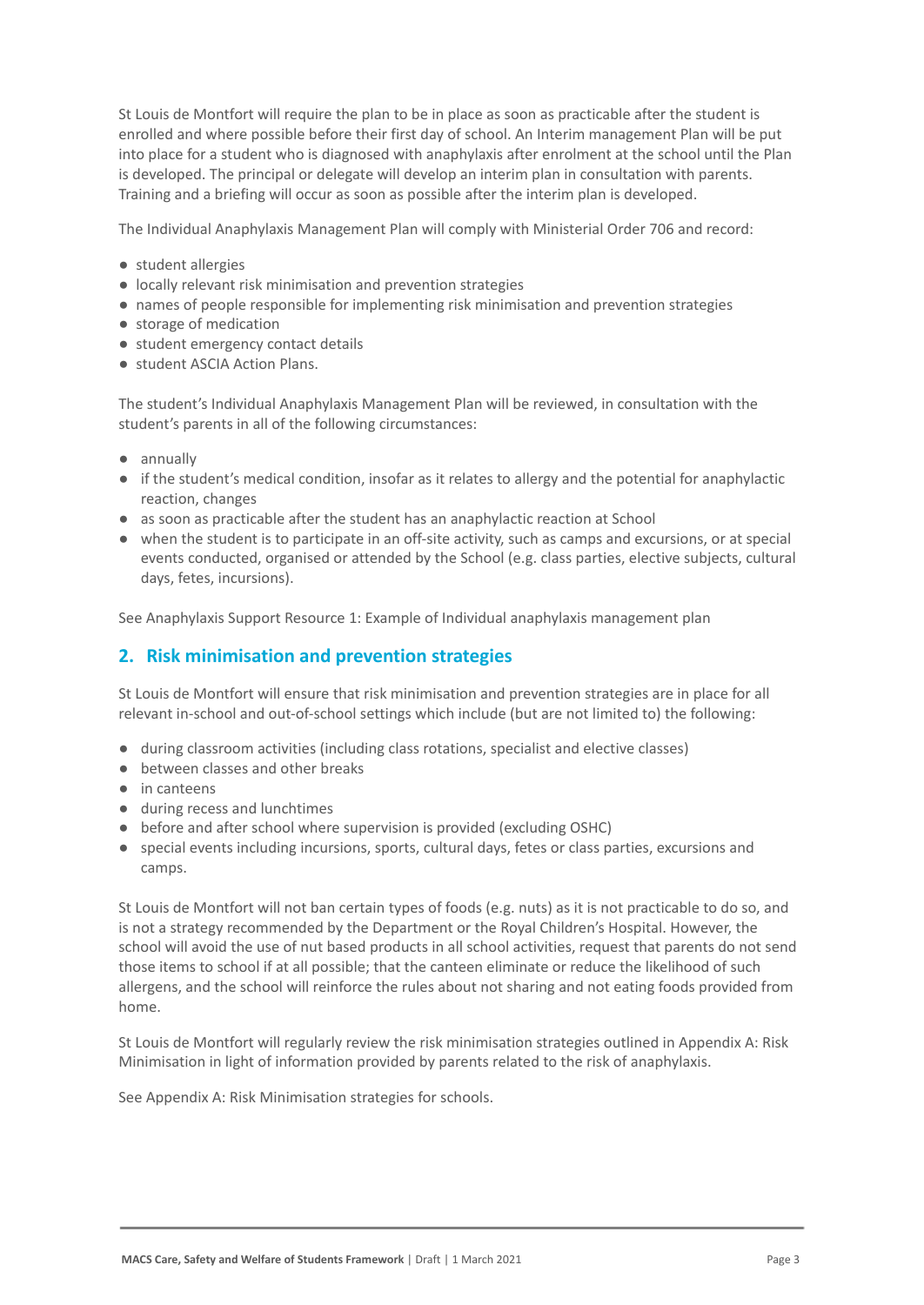St Louis de Montfort will require the plan to be in place as soon as practicable after the student is enrolled and where possible before their first day of school. An Interim management Plan will be put into place for a student who is diagnosed with anaphylaxis after enrolment at the school until the Plan is developed. The principal or delegate will develop an interim plan in consultation with parents. Training and a briefing will occur as soon as possible after the interim plan is developed.

The Individual Anaphylaxis Management Plan will comply with Ministerial Order 706 and record:

- student allergies
- locally relevant risk minimisation and prevention strategies
- names of people responsible for implementing risk minimisation and prevention strategies
- storage of medication
- student emergency contact details
- student ASCIA Action Plans.

The student's Individual Anaphylaxis Management Plan will be reviewed, in consultation with the student's parents in all of the following circumstances:

- annually
- if the student's medical condition, insofar as it relates to allergy and the potential for anaphylactic reaction, changes
- as soon as practicable after the student has an anaphylactic reaction at School
- when the student is to participate in an off-site activity, such as camps and excursions, or at special events conducted, organised or attended by the School (e.g. class parties, elective subjects, cultural days, fetes, incursions).

See Anaphylaxis Support Resource 1: Example of Individual anaphylaxis management plan

## **2. Risk minimisation and prevention strategies**

St Louis de Montfort will ensure that risk minimisation and prevention strategies are in place for all relevant in-school and out-of-school settings which include (but are not limited to) the following:

- during classroom activities (including class rotations, specialist and elective classes)
- between classes and other breaks
- in canteens
- during recess and lunchtimes
- before and after school where supervision is provided (excluding OSHC)
- special events including incursions, sports, cultural days, fetes or class parties, excursions and camps.

St Louis de Montfort will not ban certain types of foods (e.g. nuts) as it is not practicable to do so, and is not a strategy recommended by the Department or the Royal Children's Hospital. However, the school will avoid the use of nut based products in all school activities, request that parents do not send those items to school if at all possible; that the canteen eliminate or reduce the likelihood of such allergens, and the school will reinforce the rules about not sharing and not eating foods provided from home.

St Louis de Montfort will regularly review the risk minimisation strategies outlined in Appendix A: Risk Minimisation in light of information provided by parents related to the risk of anaphylaxis.

See Appendix A: Risk Minimisation strategies for schools.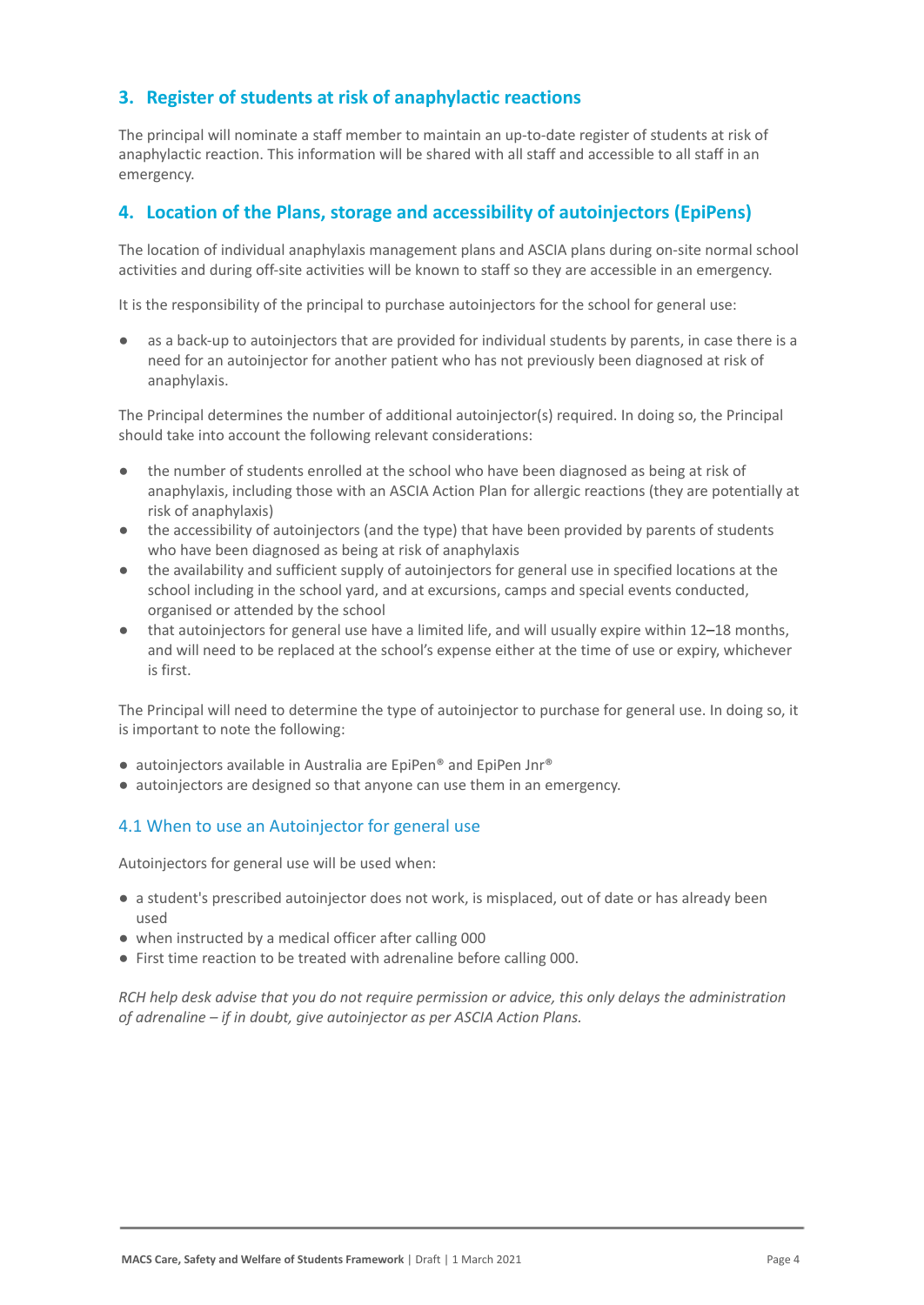## **3. Register of students at risk of anaphylactic reactions**

The principal will nominate a staff member to maintain an up-to-date register of students at risk of anaphylactic reaction. This information will be shared with all staff and accessible to all staff in an emergency.

## **4. Location of the Plans, storage and accessibility of autoinjectors (EpiPens)**

The location of individual anaphylaxis management plans and ASCIA plans during on-site normal school activities and during off-site activities will be known to staff so they are accessible in an emergency.

It is the responsibility of the principal to purchase autoinjectors for the school for general use:

as a back-up to autoinjectors that are provided for individual students by parents, in case there is a need for an autoinjector for another patient who has not previously been diagnosed at risk of anaphylaxis.

The Principal determines the number of additional autoinjector(s) required. In doing so, the Principal should take into account the following relevant considerations:

- the number of students enrolled at the school who have been diagnosed as being at risk of anaphylaxis, including those with an ASCIA Action Plan for allergic reactions (they are potentially at risk of anaphylaxis)
- the accessibility of autoinjectors (and the type) that have been provided by parents of students who have been diagnosed as being at risk of anaphylaxis
- the availability and sufficient supply of autoinjectors for general use in specified locations at the school including in the school yard, and at excursions, camps and special events conducted, organised or attended by the school
- that autoinjectors for general use have a limited life, and will usually expire within 12–18 months, and will need to be replaced at the school's expense either at the time of use or expiry, whichever is first.

The Principal will need to determine the type of autoinjector to purchase for general use. In doing so, it is important to note the following:

- autoinjectors available in Australia are EpiPen® and EpiPen Jnr®
- autoinjectors are designed so that anyone can use them in an emergency.

#### 4.1 When to use an Autoinjector for general use

Autoinjectors for general use will be used when:

- a student's prescribed autoinjector does not work, is misplaced, out of date or has already been used
- when instructed by a medical officer after calling 000
- First time reaction to be treated with adrenaline before calling 000.

*RCH help desk advise that you do not require permission or advice, this only delays the administration of adrenaline – if in doubt, give autoinjector as per ASCIA Action Plans.*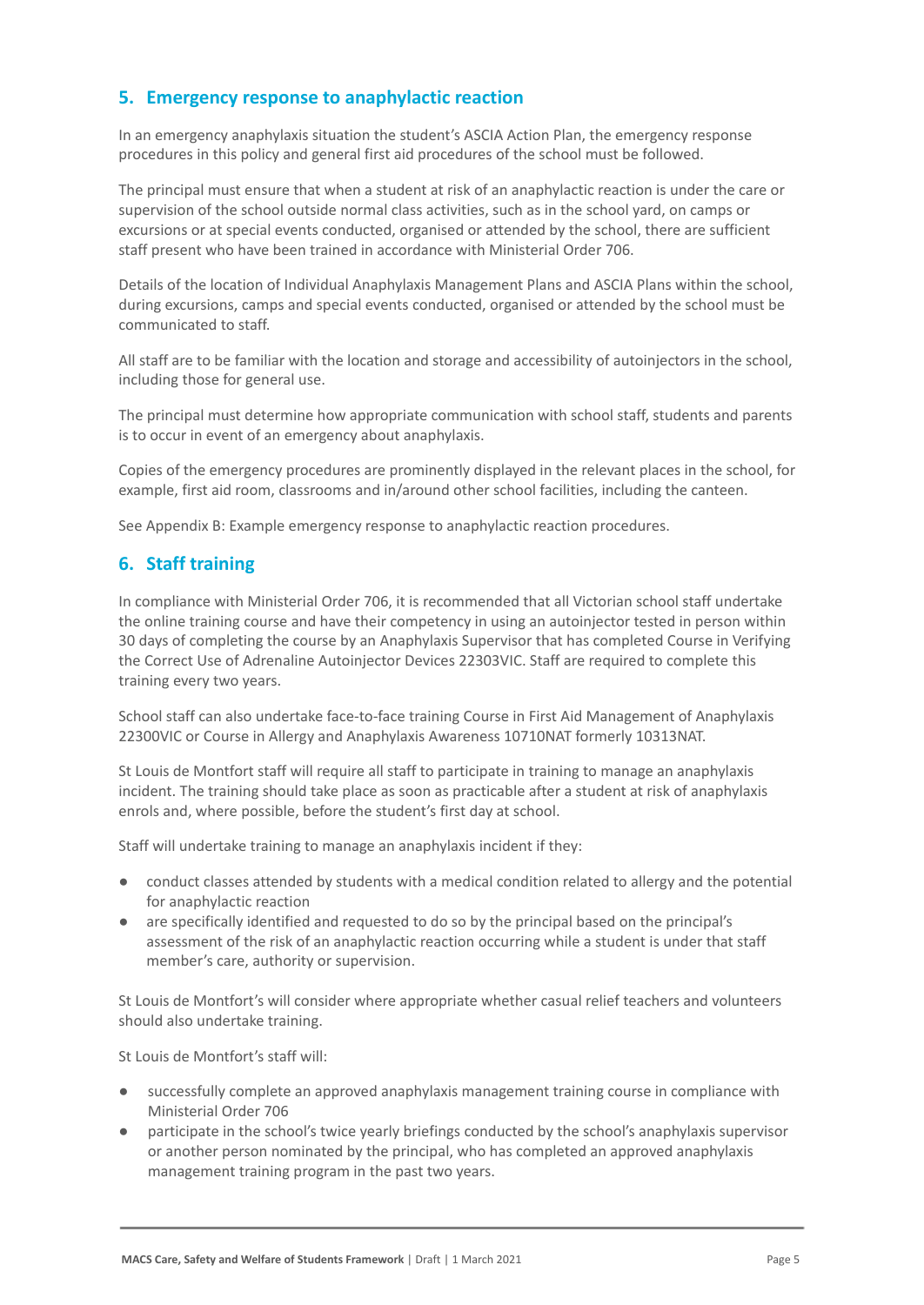## **5. Emergency response to anaphylactic reaction**

In an emergency anaphylaxis situation the student's ASCIA Action Plan, the emergency response procedures in this policy and general first aid procedures of the school must be followed.

The principal must ensure that when a student at risk of an anaphylactic reaction is under the care or supervision of the school outside normal class activities, such as in the school yard, on camps or excursions or at special events conducted, organised or attended by the school, there are sufficient staff present who have been trained in accordance with Ministerial Order 706.

Details of the location of Individual Anaphylaxis Management Plans and ASCIA Plans within the school, during excursions, camps and special events conducted, organised or attended by the school must be communicated to staff.

All staff are to be familiar with the location and storage and accessibility of autoinjectors in the school, including those for general use.

The principal must determine how appropriate communication with school staff, students and parents is to occur in event of an emergency about anaphylaxis.

Copies of the emergency procedures are prominently displayed in the relevant places in the school, for example, first aid room, classrooms and in/around other school facilities, including the canteen.

See Appendix B: Example emergency response to anaphylactic reaction procedures.

### **6. Staff training**

In compliance with Ministerial Order 706, it is recommended that all Victorian school staff undertake the online training course and have their competency in using an autoinjector tested in person within 30 days of completing the course by an Anaphylaxis Supervisor that has completed Course in Verifying the Correct Use of Adrenaline Autoinjector Devices 22303VIC. Staff are required to complete this training every two years.

School staff can also undertake face-to-face training Course in First Aid Management of Anaphylaxis 22300VIC or Course in Allergy and Anaphylaxis Awareness 10710NAT formerly 10313NAT.

St Louis de Montfort staff will require all staff to participate in training to manage an anaphylaxis incident. The training should take place as soon as practicable after a student at risk of anaphylaxis enrols and, where possible, before the student's first day at school.

Staff will undertake training to manage an anaphylaxis incident if they:

- conduct classes attended by students with a medical condition related to allergy and the potential for anaphylactic reaction
- are specifically identified and requested to do so by the principal based on the principal's assessment of the risk of an anaphylactic reaction occurring while a student is under that staff member's care, authority or supervision.

St Louis de Montfort's will consider where appropriate whether casual relief teachers and volunteers should also undertake training.

St Louis de Montfort's staff will:

- successfully complete an approved anaphylaxis management training course in compliance with Ministerial Order 706
- participate in the school's twice yearly briefings conducted by the school's anaphylaxis supervisor or another person nominated by the principal, who has completed an approved anaphylaxis management training program in the past two years.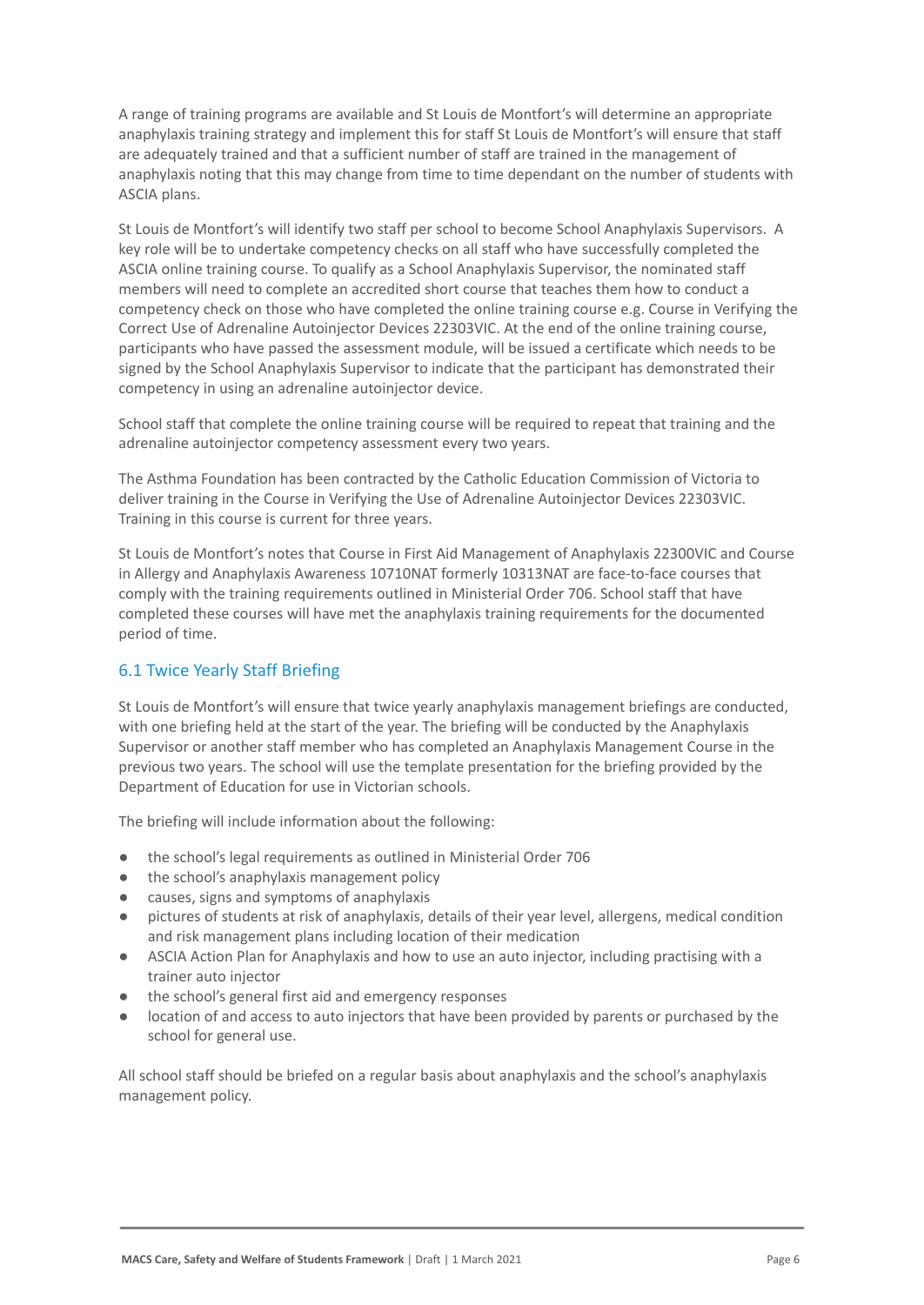A range of training programs are available and St Louis de Montfort's will determine an appropriate anaphylaxis training strategy and implement this for staff St Louis de Montfort's will ensure that staff are adequately trained and that a sufficient number of staff are trained in the management of anaphylaxis noting that this may change from time to time dependant on the number of students with ASCIA plans.

St Louis de Montfort's will identify two staff per school to become School Anaphylaxis Supervisors. A key role will be to undertake competency checks on all staff who have successfully completed the ASCIA online training course. To qualify as a School Anaphylaxis Supervisor, the nominated staff members will need to complete an accredited short course that teaches them how to conduct a competency check on those who have completed the online training course e.g. Course in Verifying the Correct Use of Adrenaline Autoinjector Devices 22303VIC. At the end of the online training course, participants who have passed the assessment module, will be issued a certificate which needs to be signed by the School Anaphylaxis Supervisor to indicate that the participant has demonstrated their competency in using an adrenaline autoinjector device.

School staff that complete the online training course will be required to repeat that training and the adrenaline autoinjector competency assessment every two years.

The Asthma Foundation has been contracted by the Catholic Education Commission of Victoria to deliver training in the Course in Verifying the Use of Adrenaline Autoinjector Devices 22303VIC. Training in this course is current for three years.

St Louis de Montfort's notes that Course in First Aid Management of Anaphylaxis 22300VIC and Course in Allergy and Anaphylaxis Awareness 10710NAT formerly 10313NAT are face-to-face courses that comply with the training requirements outlined in Ministerial Order 706. School staff that have completed these courses will have met the anaphylaxis training requirements for the documented period of time.

## 6.1 Twice Yearly Staff Briefing

St Louis de Montfort's will ensure that twice yearly anaphylaxis management briefings are conducted, with one briefing held at the start of the year. The briefing will be conducted by the Anaphylaxis Supervisor or another staff member who has completed an Anaphylaxis Management Course in the previous two years. The school will use the template presentation for the briefing provided by the Department of Education for use in Victorian schools.

The briefing will include information about the following:

- the school's legal requirements as outlined in Ministerial Order 706
- the school's anaphylaxis management policy
- causes, signs and symptoms of anaphylaxis
- pictures of students at risk of anaphylaxis, details of their year level, allergens, medical condition and risk management plans including location of their medication
- ASCIA Action Plan for Anaphylaxis and how to use an auto injector, including practising with a trainer auto injector
- the school's general first aid and emergency responses
- location of and access to auto injectors that have been provided by parents or purchased by the school for general use.

All school staff should be briefed on a regular basis about anaphylaxis and the school's anaphylaxis management policy.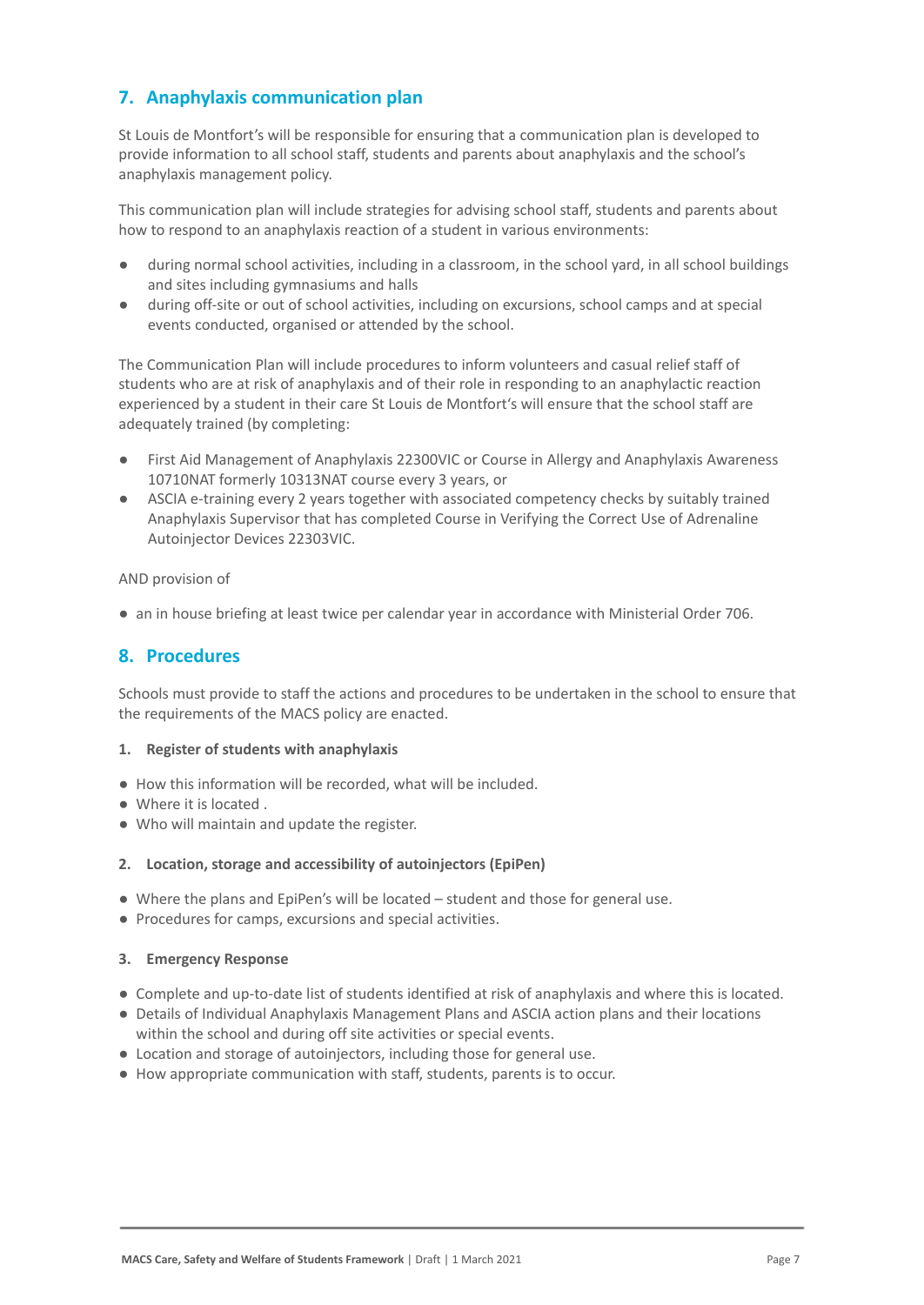## **7. Anaphylaxis communication plan**

St Louis de Montfort's will be responsible for ensuring that a communication plan is developed to provide information to all school staff, students and parents about anaphylaxis and the school's anaphylaxis management policy.

This communication plan will include strategies for advising school staff, students and parents about how to respond to an anaphylaxis reaction of a student in various environments:

- during normal school activities, including in a classroom, in the school yard, in all school buildings and sites including gymnasiums and halls
- during off-site or out of school activities, including on excursions, school camps and at special events conducted, organised or attended by the school.

The Communication Plan will include procedures to inform volunteers and casual relief staff of students who are at risk of anaphylaxis and of their role in responding to an anaphylactic reaction experienced by a student in their care St Louis de Montfort's will ensure that the school staff are adequately trained (by completing:

- First Aid Management of Anaphylaxis 22300VIC or Course in Allergy and Anaphylaxis Awareness 10710NAT formerly 10313NAT course every 3 years, or
- ASCIA e-training every 2 years together with associated competency checks by suitably trained Anaphylaxis Supervisor that has completed Course in Verifying the Correct Use of Adrenaline Autoinjector Devices 22303VIC.

AND provision of

● an in house briefing at least twice per calendar year in accordance with Ministerial Order 706.

## **8. Procedures**

Schools must provide to staff the actions and procedures to be undertaken in the school to ensure that the requirements of the MACS policy are enacted.

#### **1. Register of students with anaphylaxis**

- How this information will be recorded, what will be included.
- Where it is located .
- Who will maintain and update the register.

#### **2. Location, storage and accessibility of autoinjectors (EpiPen)**

- Where the plans and EpiPen's will be located student and those for general use.
- Procedures for camps, excursions and special activities.

#### **3. Emergency Response**

- Complete and up-to-date list of students identified at risk of anaphylaxis and where this is located.
- Details of Individual Anaphylaxis Management Plans and ASCIA action plans and their locations within the school and during off site activities or special events.
- Location and storage of autoinjectors, including those for general use.
- How appropriate communication with staff, students, parents is to occur.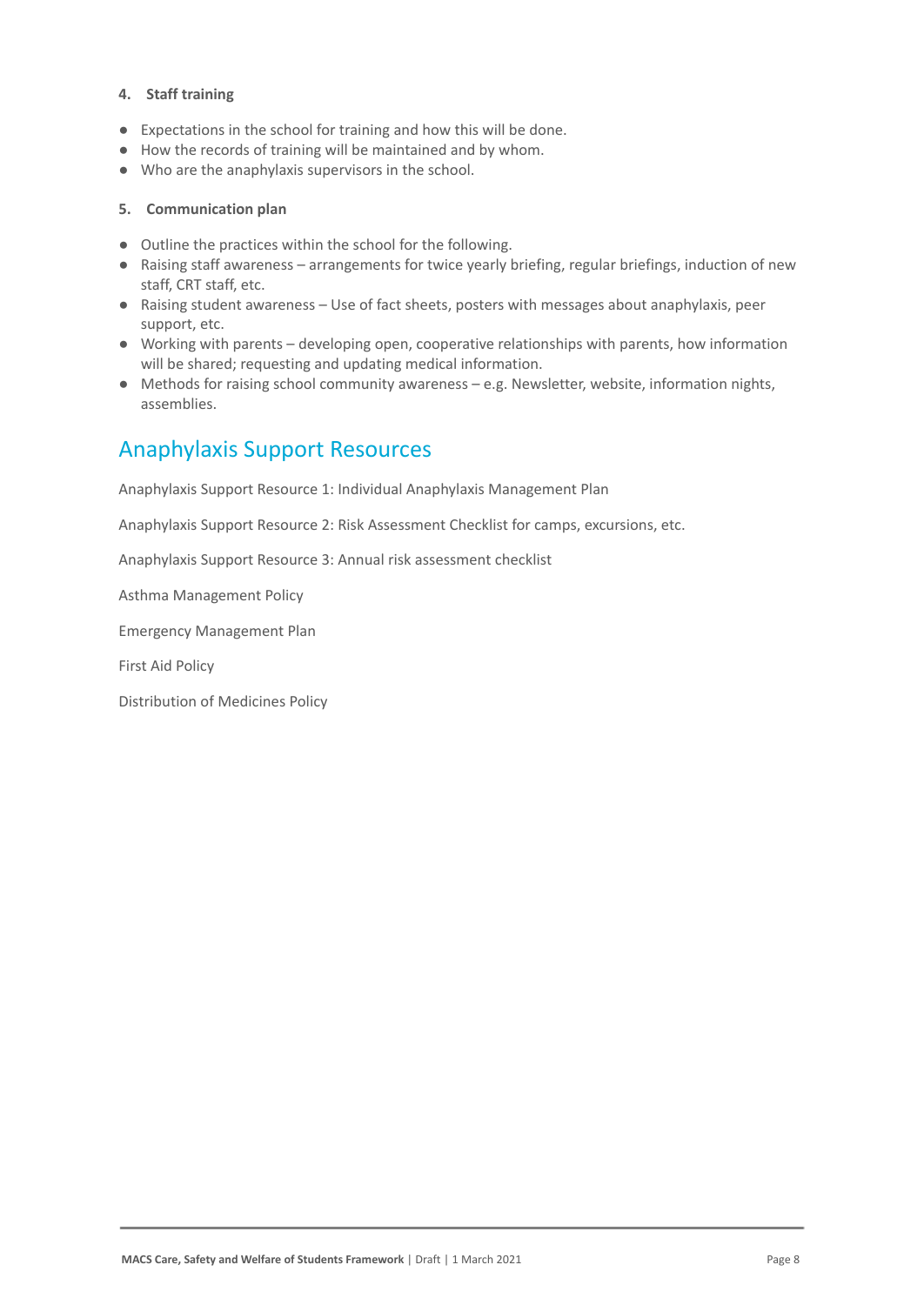#### **4. Staff training**

- Expectations in the school for training and how this will be done.
- How the records of training will be maintained and by whom.
- Who are the anaphylaxis supervisors in the school.

#### **5. Communication plan**

- Outline the practices within the school for the following.
- Raising staff awareness arrangements for twice yearly briefing, regular briefings, induction of new staff, CRT staff, etc.
- Raising student awareness Use of fact sheets, posters with messages about anaphylaxis, peer support, etc.
- Working with parents developing open, cooperative relationships with parents, how information will be shared; requesting and updating medical information.
- Methods for raising school community awareness e.g. Newsletter, website, information nights, assemblies.

## Anaphylaxis Support Resources

Anaphylaxis Support Resource 1: Individual Anaphylaxis Management Plan

Anaphylaxis Support Resource 2: Risk Assessment Checklist for camps, excursions, etc.

Anaphylaxis Support Resource 3: Annual risk assessment checklist

Asthma Management Policy

Emergency Management Plan

First Aid Policy

Distribution of Medicines Policy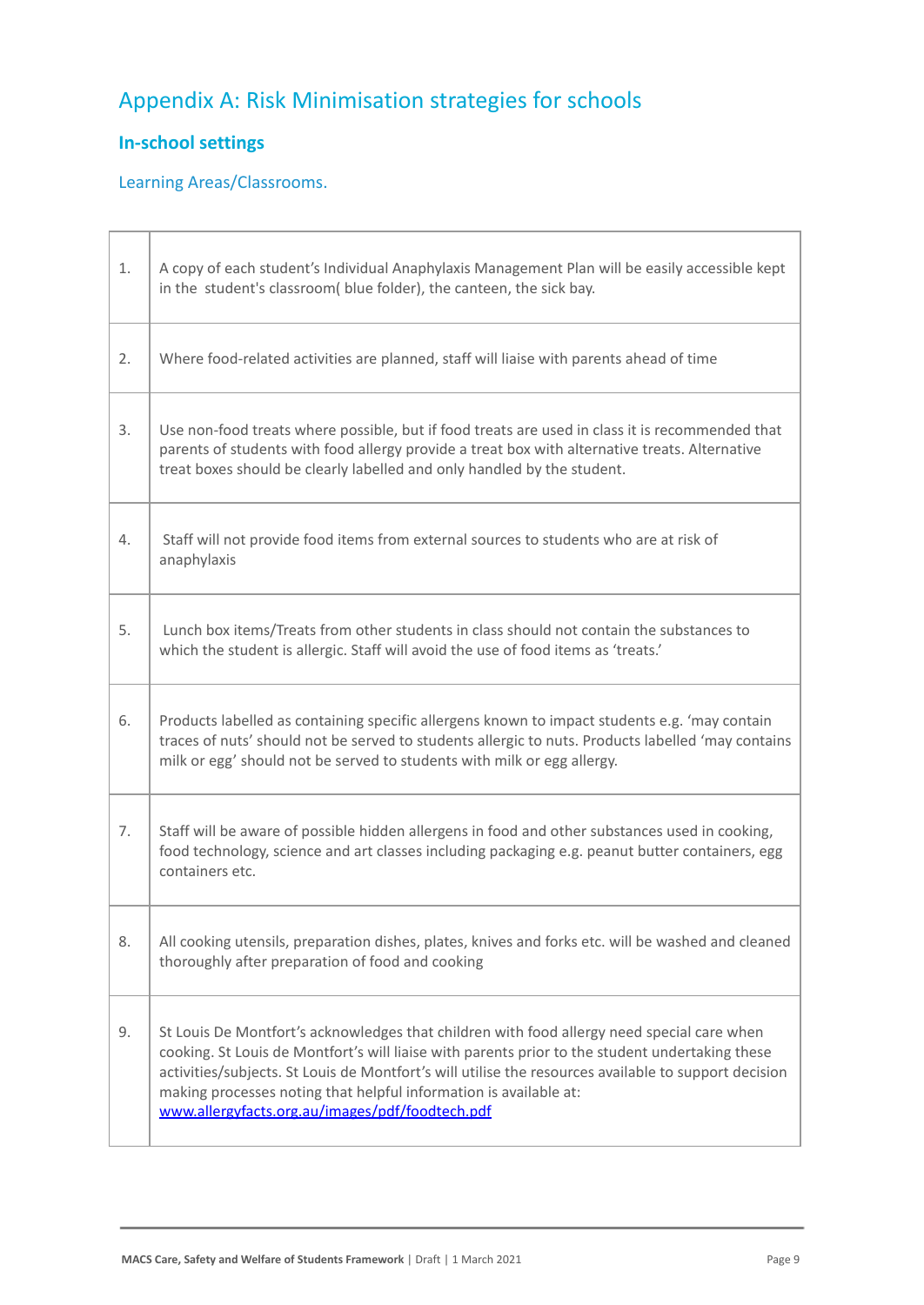# Appendix A: Risk Minimisation strategies for schools

## **In-school settings**

 $\overline{\phantom{0}}$ Г

## Learning Areas/Classrooms.

| 1. | A copy of each student's Individual Anaphylaxis Management Plan will be easily accessible kept<br>in the student's classroom( blue folder), the canteen, the sick bay.                                                                                                                                                                                                                                                        |
|----|-------------------------------------------------------------------------------------------------------------------------------------------------------------------------------------------------------------------------------------------------------------------------------------------------------------------------------------------------------------------------------------------------------------------------------|
| 2. | Where food-related activities are planned, staff will liaise with parents ahead of time                                                                                                                                                                                                                                                                                                                                       |
| 3. | Use non-food treats where possible, but if food treats are used in class it is recommended that<br>parents of students with food allergy provide a treat box with alternative treats. Alternative<br>treat boxes should be clearly labelled and only handled by the student.                                                                                                                                                  |
| 4. | Staff will not provide food items from external sources to students who are at risk of<br>anaphylaxis                                                                                                                                                                                                                                                                                                                         |
| 5. | Lunch box items/Treats from other students in class should not contain the substances to<br>which the student is allergic. Staff will avoid the use of food items as 'treats.'                                                                                                                                                                                                                                                |
| 6. | Products labelled as containing specific allergens known to impact students e.g. 'may contain<br>traces of nuts' should not be served to students allergic to nuts. Products labelled 'may contains<br>milk or egg' should not be served to students with milk or egg allergy.                                                                                                                                                |
| 7. | Staff will be aware of possible hidden allergens in food and other substances used in cooking,<br>food technology, science and art classes including packaging e.g. peanut butter containers, egg<br>containers etc.                                                                                                                                                                                                          |
| 8. | All cooking utensils, preparation dishes, plates, knives and forks etc. will be washed and cleaned<br>thoroughly after preparation of food and cooking                                                                                                                                                                                                                                                                        |
| 9. | St Louis De Montfort's acknowledges that children with food allergy need special care when<br>cooking. St Louis de Montfort's will liaise with parents prior to the student undertaking these<br>activities/subjects. St Louis de Montfort's will utilise the resources available to support decision<br>making processes noting that helpful information is available at:<br>www.allergyfacts.org.au/images/pdf/foodtech.pdf |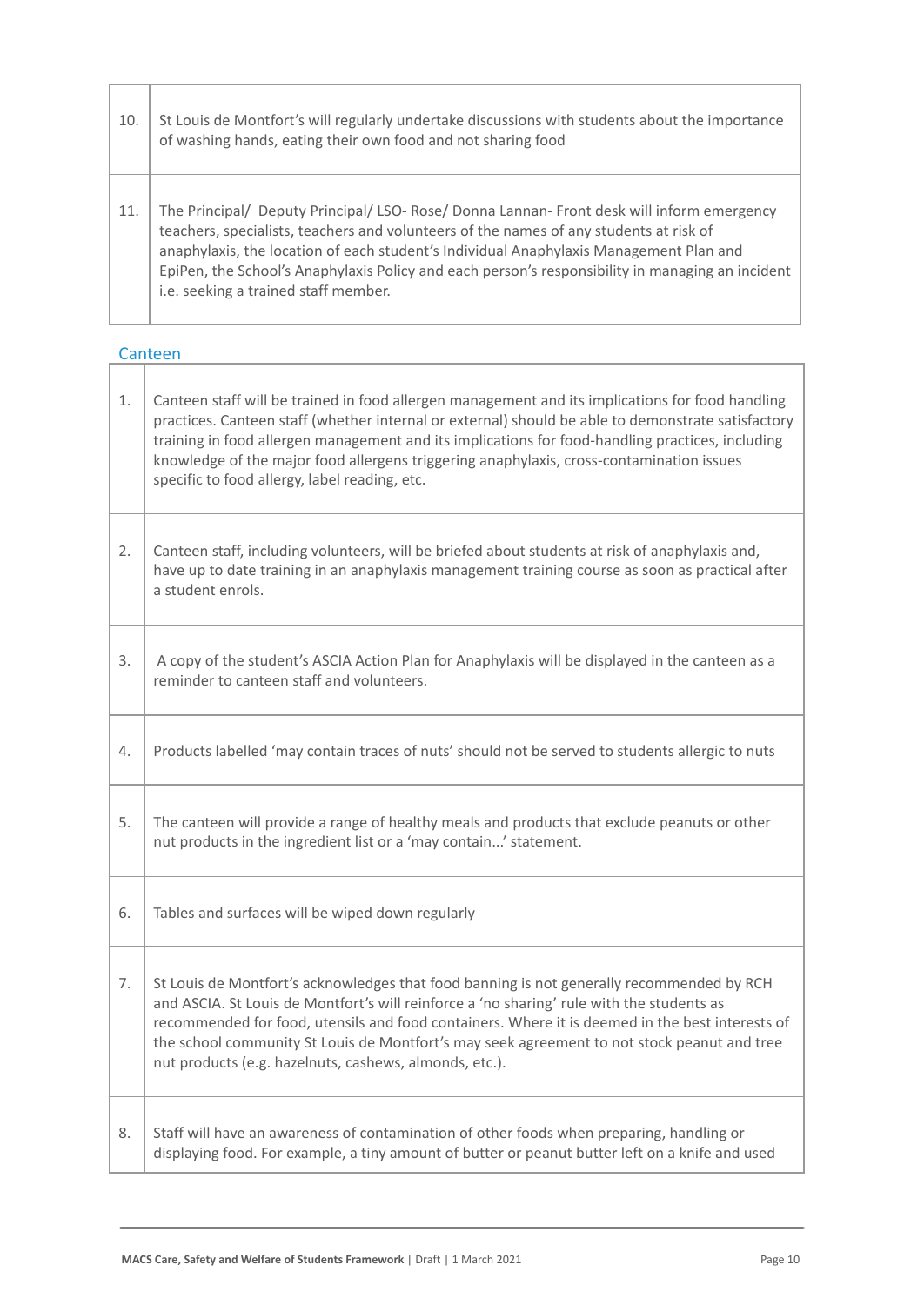| 10. | St Louis de Montfort's will regularly undertake discussions with students about the importance<br>of washing hands, eating their own food and not sharing food                                                                                                                                                                                                                                                             |
|-----|----------------------------------------------------------------------------------------------------------------------------------------------------------------------------------------------------------------------------------------------------------------------------------------------------------------------------------------------------------------------------------------------------------------------------|
| 11. | The Principal/ Deputy Principal/ LSO- Rose/ Donna Lannan- Front desk will inform emergency<br>teachers, specialists, teachers and volunteers of the names of any students at risk of<br>anaphylaxis, the location of each student's Individual Anaphylaxis Management Plan and<br>EpiPen, the School's Anaphylaxis Policy and each person's responsibility in managing an incident<br>i.e. seeking a trained staff member. |

# Canteen<br>
|

ſ

Г

т

| $1.$ | Canteen staff will be trained in food allergen management and its implications for food handling<br>practices. Canteen staff (whether internal or external) should be able to demonstrate satisfactory<br>training in food allergen management and its implications for food-handling practices, including<br>knowledge of the major food allergens triggering anaphylaxis, cross-contamination issues<br>specific to food allergy, label reading, etc. |
|------|---------------------------------------------------------------------------------------------------------------------------------------------------------------------------------------------------------------------------------------------------------------------------------------------------------------------------------------------------------------------------------------------------------------------------------------------------------|
| 2.   | Canteen staff, including volunteers, will be briefed about students at risk of anaphylaxis and,<br>have up to date training in an anaphylaxis management training course as soon as practical after<br>a student enrols.                                                                                                                                                                                                                                |
| 3.   | A copy of the student's ASCIA Action Plan for Anaphylaxis will be displayed in the canteen as a<br>reminder to canteen staff and volunteers.                                                                                                                                                                                                                                                                                                            |
| 4.   | Products labelled 'may contain traces of nuts' should not be served to students allergic to nuts                                                                                                                                                                                                                                                                                                                                                        |
| 5.   | The canteen will provide a range of healthy meals and products that exclude peanuts or other<br>nut products in the ingredient list or a 'may contain' statement.                                                                                                                                                                                                                                                                                       |
| 6.   | Tables and surfaces will be wiped down regularly                                                                                                                                                                                                                                                                                                                                                                                                        |
| 7.   | St Louis de Montfort's acknowledges that food banning is not generally recommended by RCH<br>and ASCIA. St Louis de Montfort's will reinforce a 'no sharing' rule with the students as<br>recommended for food, utensils and food containers. Where it is deemed in the best interests of<br>the school community St Louis de Montfort's may seek agreement to not stock peanut and tree<br>nut products (e.g. hazelnuts, cashews, almonds, etc.).      |
| 8.   | Staff will have an awareness of contamination of other foods when preparing, handling or<br>displaying food. For example, a tiny amount of butter or peanut butter left on a knife and used                                                                                                                                                                                                                                                             |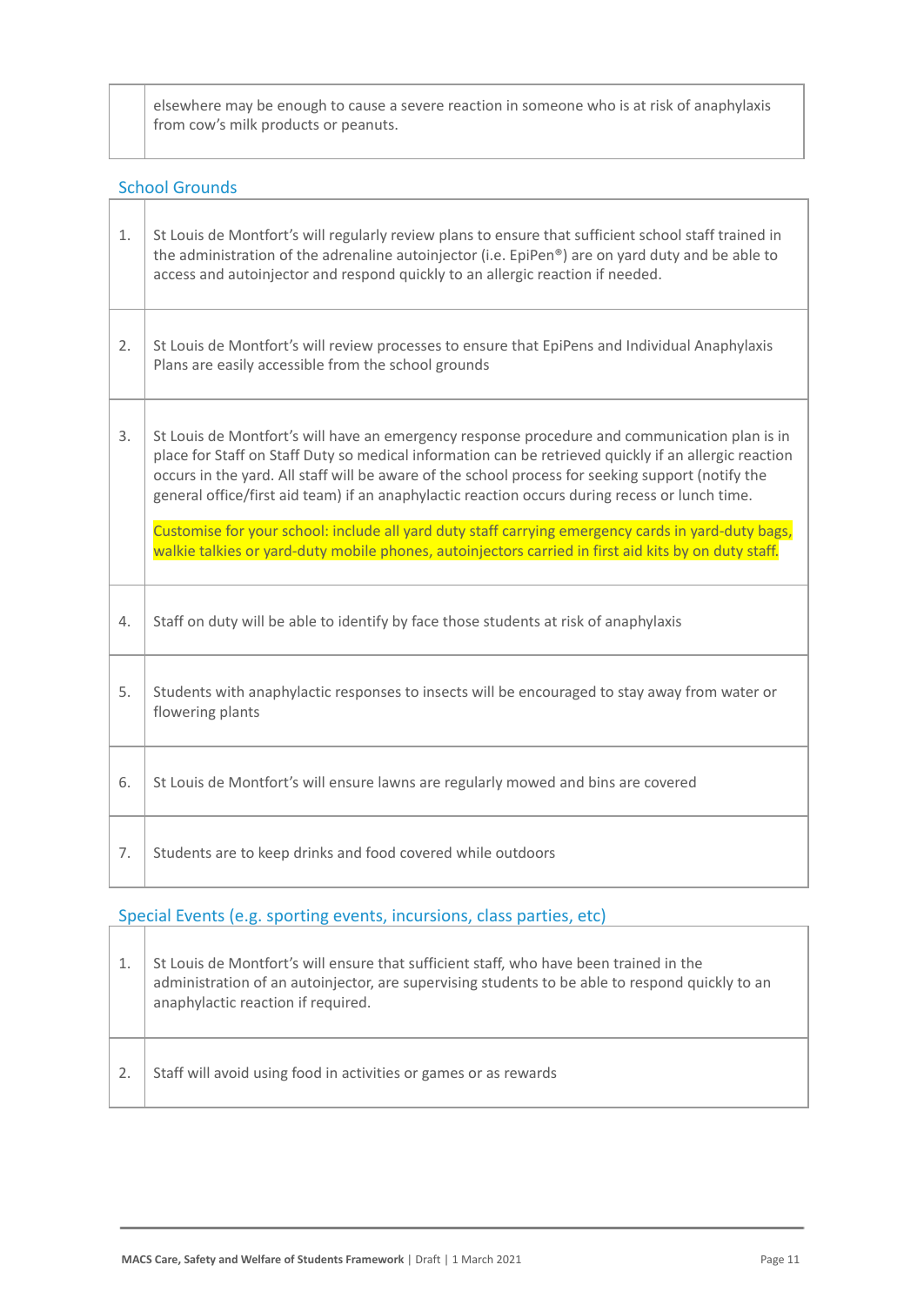elsewhere may be enough to cause a severe reaction in someone who is at risk of anaphylaxis from cow's milk products or peanuts.

# School Grounds

| 1. | St Louis de Montfort's will regularly review plans to ensure that sufficient school staff trained in<br>the administration of the adrenaline autoinjector (i.e. EpiPen®) are on yard duty and be able to<br>access and autoinjector and respond quickly to an allergic reaction if needed.                                                                                                                                                                                                                                                                                                                                  |
|----|-----------------------------------------------------------------------------------------------------------------------------------------------------------------------------------------------------------------------------------------------------------------------------------------------------------------------------------------------------------------------------------------------------------------------------------------------------------------------------------------------------------------------------------------------------------------------------------------------------------------------------|
| 2. | St Louis de Montfort's will review processes to ensure that EpiPens and Individual Anaphylaxis<br>Plans are easily accessible from the school grounds                                                                                                                                                                                                                                                                                                                                                                                                                                                                       |
| 3. | St Louis de Montfort's will have an emergency response procedure and communication plan is in<br>place for Staff on Staff Duty so medical information can be retrieved quickly if an allergic reaction<br>occurs in the yard. All staff will be aware of the school process for seeking support (notify the<br>general office/first aid team) if an anaphylactic reaction occurs during recess or lunch time.<br>Customise for your school: include all yard duty staff carrying emergency cards in yard-duty bags,<br>walkie talkies or yard-duty mobile phones, autoinjectors carried in first aid kits by on duty staff. |
| 4. | Staff on duty will be able to identify by face those students at risk of anaphylaxis                                                                                                                                                                                                                                                                                                                                                                                                                                                                                                                                        |
| 5. | Students with anaphylactic responses to insects will be encouraged to stay away from water or<br>flowering plants                                                                                                                                                                                                                                                                                                                                                                                                                                                                                                           |
| 6. | St Louis de Montfort's will ensure lawns are regularly mowed and bins are covered                                                                                                                                                                                                                                                                                                                                                                                                                                                                                                                                           |
| 7. | Students are to keep drinks and food covered while outdoors                                                                                                                                                                                                                                                                                                                                                                                                                                                                                                                                                                 |

## Special Events (e.g. sporting events, incursions, class parties, etc)

| St Louis de Montfort's will ensure that sufficient staff, who have been trained in the<br>administration of an autoinjector, are supervising students to be able to respond quickly to an<br>anaphylactic reaction if required. |
|---------------------------------------------------------------------------------------------------------------------------------------------------------------------------------------------------------------------------------|
| Staff will avoid using food in activities or games or as rewards                                                                                                                                                                |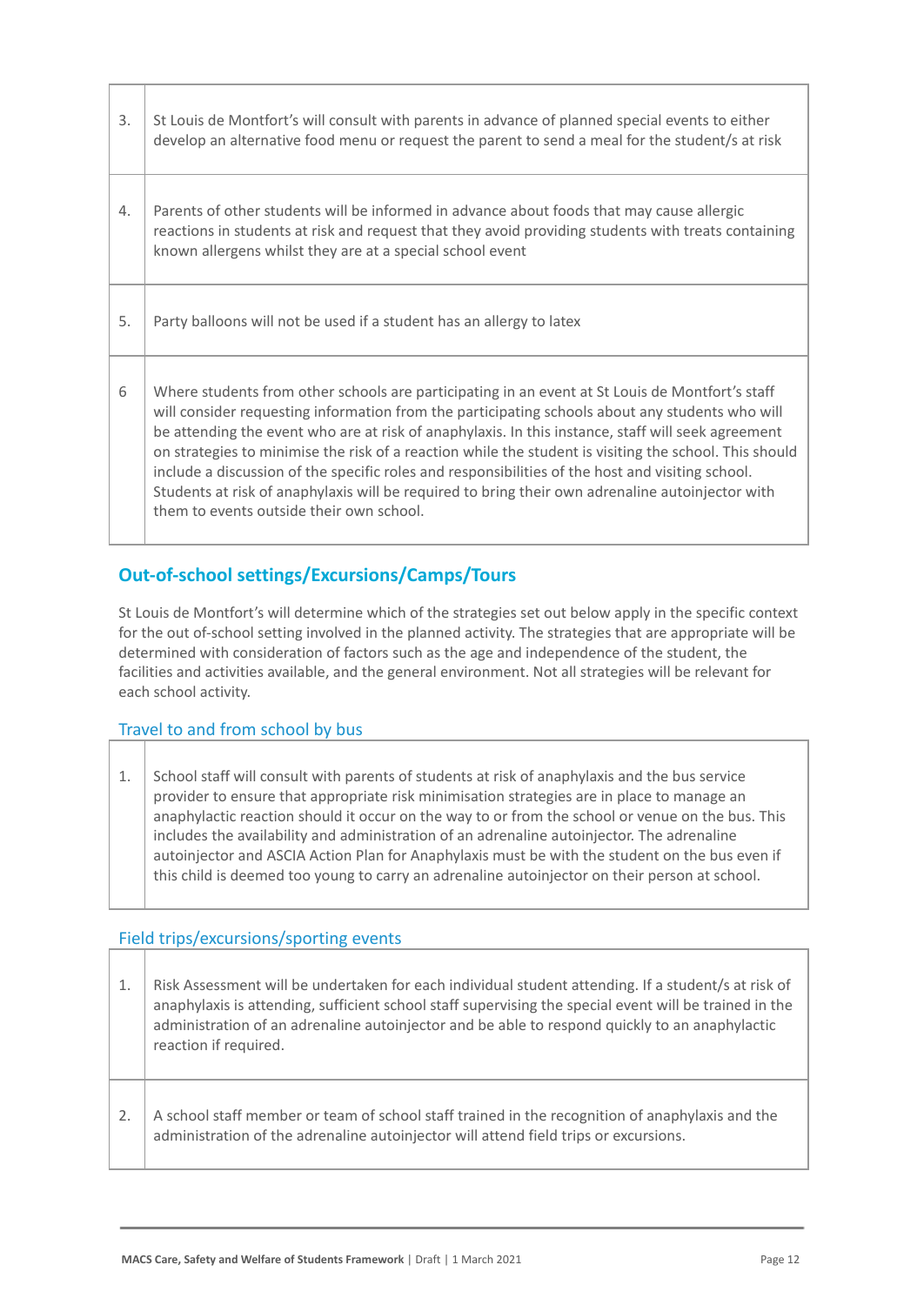| 3. | St Louis de Montfort's will consult with parents in advance of planned special events to either<br>develop an alternative food menu or request the parent to send a meal for the student/s at risk                                                                                                                                                                                                                                                                                                                                                                                                                                                                     |
|----|------------------------------------------------------------------------------------------------------------------------------------------------------------------------------------------------------------------------------------------------------------------------------------------------------------------------------------------------------------------------------------------------------------------------------------------------------------------------------------------------------------------------------------------------------------------------------------------------------------------------------------------------------------------------|
| 4. | Parents of other students will be informed in advance about foods that may cause allergic<br>reactions in students at risk and request that they avoid providing students with treats containing<br>known allergens whilst they are at a special school event                                                                                                                                                                                                                                                                                                                                                                                                          |
| 5. | Party balloons will not be used if a student has an allergy to latex                                                                                                                                                                                                                                                                                                                                                                                                                                                                                                                                                                                                   |
| 6  | Where students from other schools are participating in an event at St Louis de Montfort's staff<br>will consider requesting information from the participating schools about any students who will<br>be attending the event who are at risk of anaphylaxis. In this instance, staff will seek agreement<br>on strategies to minimise the risk of a reaction while the student is visiting the school. This should<br>include a discussion of the specific roles and responsibilities of the host and visiting school.<br>Students at risk of anaphylaxis will be required to bring their own adrenaline autoinjector with<br>them to events outside their own school. |

## **Out-of-school settings/Excursions/Camps/Tours**

St Louis de Montfort's will determine which of the strategies set out below apply in the specific context for the out of-school setting involved in the planned activity. The strategies that are appropriate will be determined with consideration of factors such as the age and independence of the student, the facilities and activities available, and the general environment. Not all strategies will be relevant for each school activity.

## Travel to and from school by bus

1. School staff will consult with parents of students at risk of anaphylaxis and the bus service provider to ensure that appropriate risk minimisation strategies are in place to manage an anaphylactic reaction should it occur on the way to or from the school or venue on the bus. This includes the availability and administration of an adrenaline autoinjector. The adrenaline autoinjector and ASCIA Action Plan for Anaphylaxis must be with the student on the bus even if this child is deemed too young to carry an adrenaline autoinjector on their person at school.

#### Field trips/excursions/sporting events

- 1. | Risk Assessment will be undertaken for each individual student attending. If a student/s at risk of anaphylaxis is attending, sufficient school staff supervising the special event will be trained in the administration of an adrenaline autoinjector and be able to respond quickly to an anaphylactic reaction if required.
- 2. A school staff member or team of school staff trained in the recognition of anaphylaxis and the administration of the adrenaline autoinjector will attend field trips or excursions.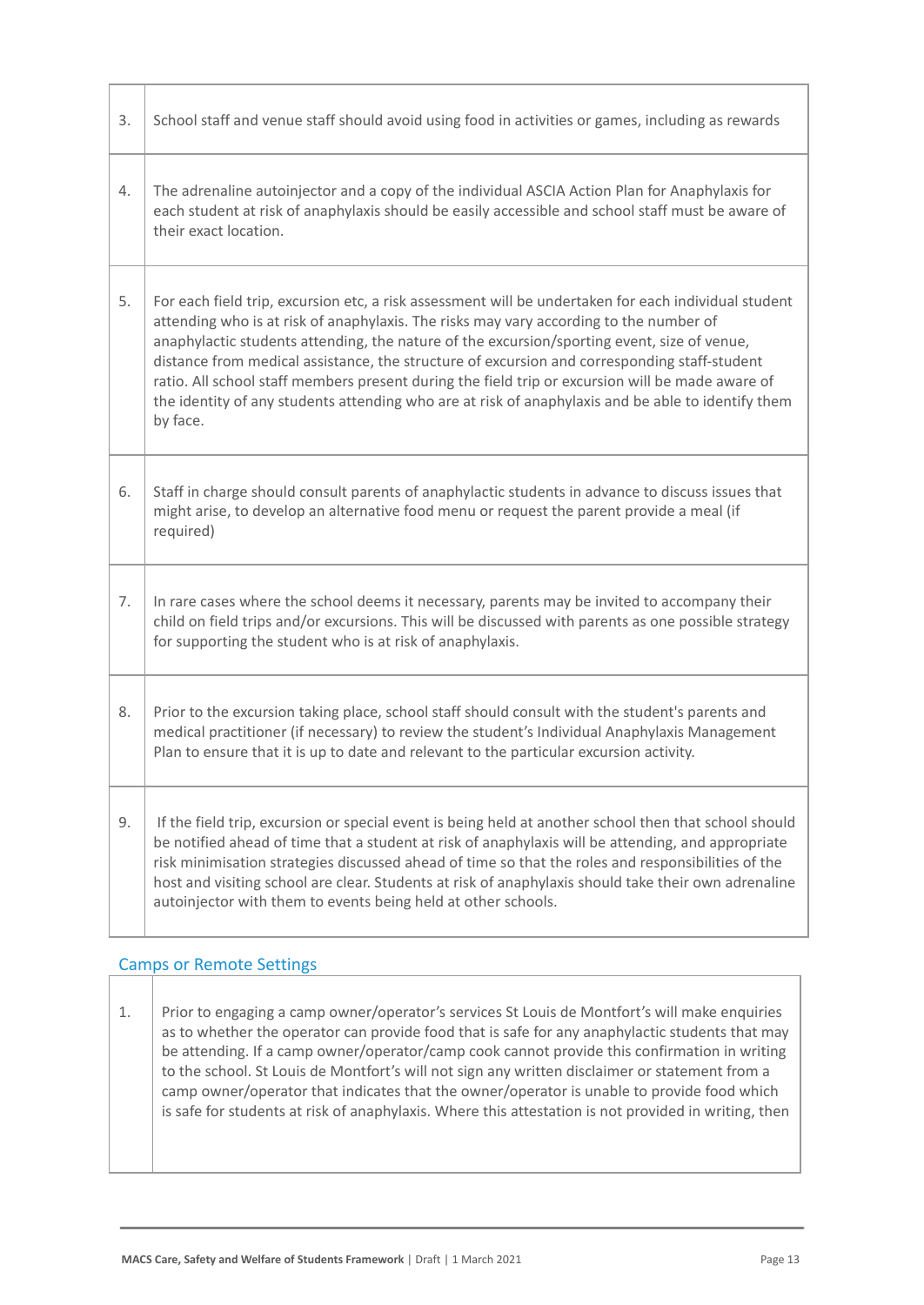| 3. | School staff and venue staff should avoid using food in activities or games, including as rewards                                                                                                                                                                                                                                                                                                                                                                                                                                                                                                                   |  |
|----|---------------------------------------------------------------------------------------------------------------------------------------------------------------------------------------------------------------------------------------------------------------------------------------------------------------------------------------------------------------------------------------------------------------------------------------------------------------------------------------------------------------------------------------------------------------------------------------------------------------------|--|
| 4. | The adrenaline autoinjector and a copy of the individual ASCIA Action Plan for Anaphylaxis for<br>each student at risk of anaphylaxis should be easily accessible and school staff must be aware of<br>their exact location.                                                                                                                                                                                                                                                                                                                                                                                        |  |
| 5. | For each field trip, excursion etc, a risk assessment will be undertaken for each individual student<br>attending who is at risk of anaphylaxis. The risks may vary according to the number of<br>anaphylactic students attending, the nature of the excursion/sporting event, size of venue,<br>distance from medical assistance, the structure of excursion and corresponding staff-student<br>ratio. All school staff members present during the field trip or excursion will be made aware of<br>the identity of any students attending who are at risk of anaphylaxis and be able to identify them<br>by face. |  |
| 6. | Staff in charge should consult parents of anaphylactic students in advance to discuss issues that<br>might arise, to develop an alternative food menu or request the parent provide a meal (if<br>required)                                                                                                                                                                                                                                                                                                                                                                                                         |  |
| 7. | In rare cases where the school deems it necessary, parents may be invited to accompany their<br>child on field trips and/or excursions. This will be discussed with parents as one possible strategy<br>for supporting the student who is at risk of anaphylaxis.                                                                                                                                                                                                                                                                                                                                                   |  |
| 8. | Prior to the excursion taking place, school staff should consult with the student's parents and<br>medical practitioner (if necessary) to review the student's Individual Anaphylaxis Management<br>Plan to ensure that it is up to date and relevant to the particular excursion activity.                                                                                                                                                                                                                                                                                                                         |  |
| 9. | If the field trip, excursion or special event is being held at another school then that school should<br>be notified ahead of time that a student at risk of anaphylaxis will be attending, and appropriate<br>risk minimisation strategies discussed ahead of time so that the roles and responsibilities of the<br>host and visiting school are clear. Students at risk of anaphylaxis should take their own adrenaline<br>autoinjector with them to events being held at other schools.                                                                                                                          |  |

#### Camps or Remote Settings

1. Prior to engaging a camp owner/operator's services St Louis de Montfort's will make enquiries as to whether the operator can provide food that is safe for any anaphylactic students that may be attending. If a camp owner/operator/camp cook cannot provide this confirmation in writing to the school. St Louis de Montfort's will not sign any written disclaimer or statement from a camp owner/operator that indicates that the owner/operator is unable to provide food which is safe for students at risk of anaphylaxis. Where this attestation is not provided in writing, then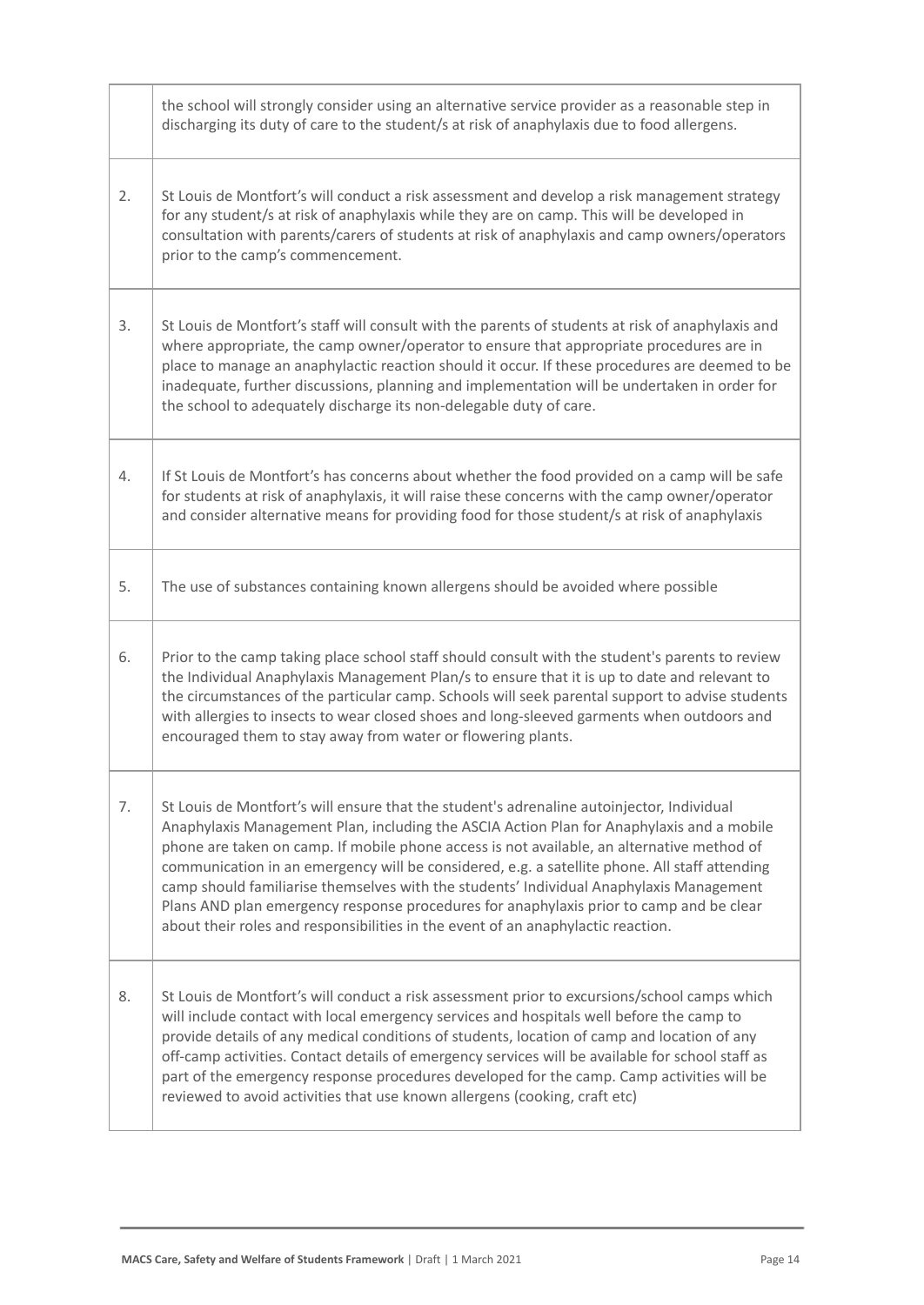|    | the school will strongly consider using an alternative service provider as a reasonable step in<br>discharging its duty of care to the student/s at risk of anaphylaxis due to food allergens.                                                                                                                                                                                                                                                                                                                                                                                                                                                                  |
|----|-----------------------------------------------------------------------------------------------------------------------------------------------------------------------------------------------------------------------------------------------------------------------------------------------------------------------------------------------------------------------------------------------------------------------------------------------------------------------------------------------------------------------------------------------------------------------------------------------------------------------------------------------------------------|
| 2. | St Louis de Montfort's will conduct a risk assessment and develop a risk management strategy<br>for any student/s at risk of anaphylaxis while they are on camp. This will be developed in<br>consultation with parents/carers of students at risk of anaphylaxis and camp owners/operators<br>prior to the camp's commencement.                                                                                                                                                                                                                                                                                                                                |
| 3. | St Louis de Montfort's staff will consult with the parents of students at risk of anaphylaxis and<br>where appropriate, the camp owner/operator to ensure that appropriate procedures are in<br>place to manage an anaphylactic reaction should it occur. If these procedures are deemed to be<br>inadequate, further discussions, planning and implementation will be undertaken in order for<br>the school to adequately discharge its non-delegable duty of care.                                                                                                                                                                                            |
| 4. | If St Louis de Montfort's has concerns about whether the food provided on a camp will be safe<br>for students at risk of anaphylaxis, it will raise these concerns with the camp owner/operator<br>and consider alternative means for providing food for those student/s at risk of anaphylaxis                                                                                                                                                                                                                                                                                                                                                                 |
| 5. | The use of substances containing known allergens should be avoided where possible                                                                                                                                                                                                                                                                                                                                                                                                                                                                                                                                                                               |
| 6. | Prior to the camp taking place school staff should consult with the student's parents to review<br>the Individual Anaphylaxis Management Plan/s to ensure that it is up to date and relevant to<br>the circumstances of the particular camp. Schools will seek parental support to advise students<br>with allergies to insects to wear closed shoes and long-sleeved garments when outdoors and<br>encouraged them to stay away from water or flowering plants.                                                                                                                                                                                                |
| 7. | St Louis de Montfort's will ensure that the student's adrenaline autoinjector, Individual<br>Anaphylaxis Management Plan, including the ASCIA Action Plan for Anaphylaxis and a mobile<br>phone are taken on camp. If mobile phone access is not available, an alternative method of<br>communication in an emergency will be considered, e.g. a satellite phone. All staff attending<br>camp should familiarise themselves with the students' Individual Anaphylaxis Management<br>Plans AND plan emergency response procedures for anaphylaxis prior to camp and be clear<br>about their roles and responsibilities in the event of an anaphylactic reaction. |
| 8. | St Louis de Montfort's will conduct a risk assessment prior to excursions/school camps which<br>will include contact with local emergency services and hospitals well before the camp to<br>provide details of any medical conditions of students, location of camp and location of any<br>off-camp activities. Contact details of emergency services will be available for school staff as<br>part of the emergency response procedures developed for the camp. Camp activities will be<br>reviewed to avoid activities that use known allergens (cooking, craft etc)                                                                                          |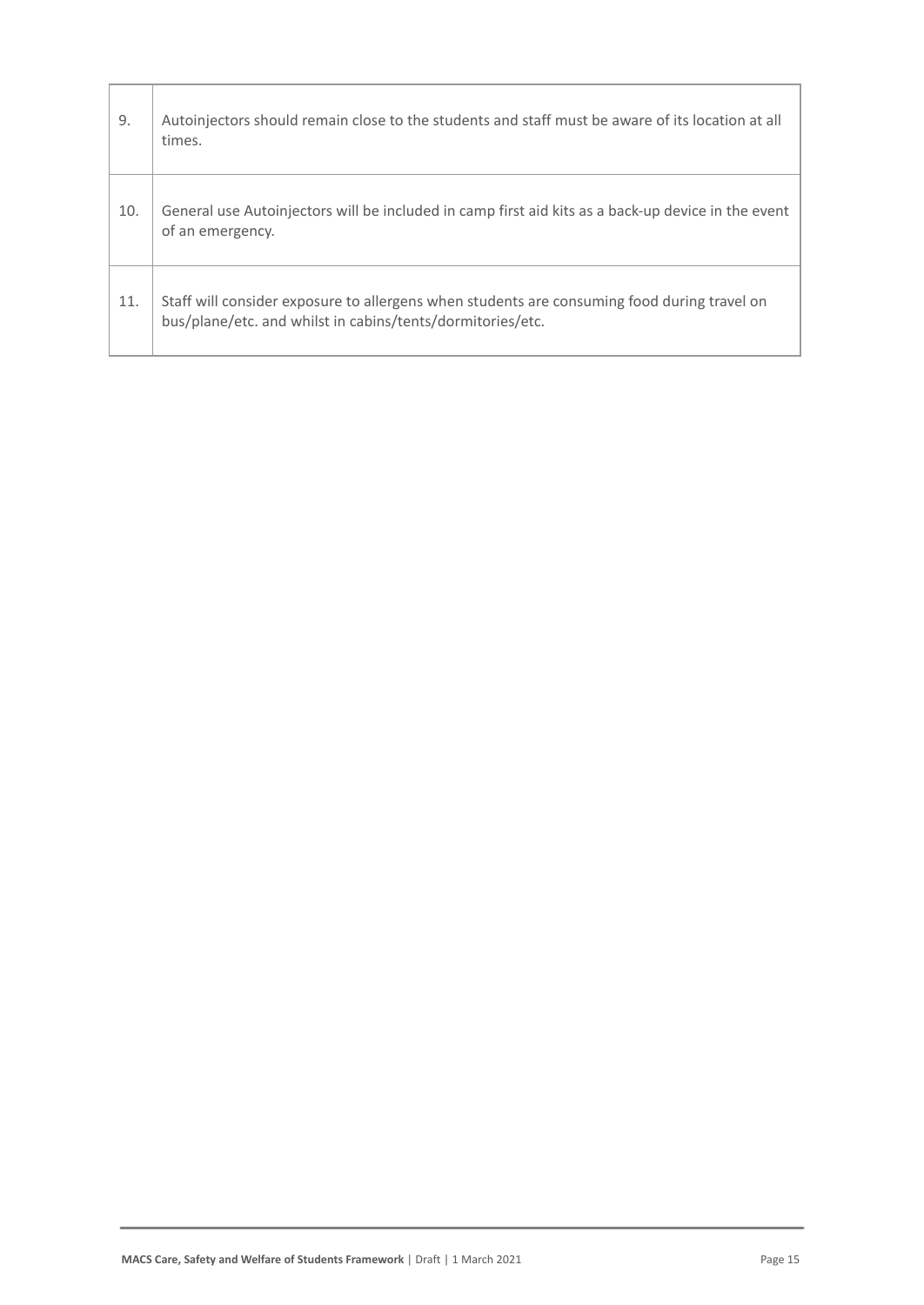| 9.  | Autoinjectors should remain close to the students and staff must be aware of its location at all<br>times.                                                |
|-----|-----------------------------------------------------------------------------------------------------------------------------------------------------------|
| 10. | General use Autoinjectors will be included in camp first aid kits as a back-up device in the event<br>of an emergency.                                    |
| 11. | Staff will consider exposure to allergens when students are consuming food during travel on<br>bus/plane/etc. and whilst in cabins/tents/dormitories/etc. |

Г

т